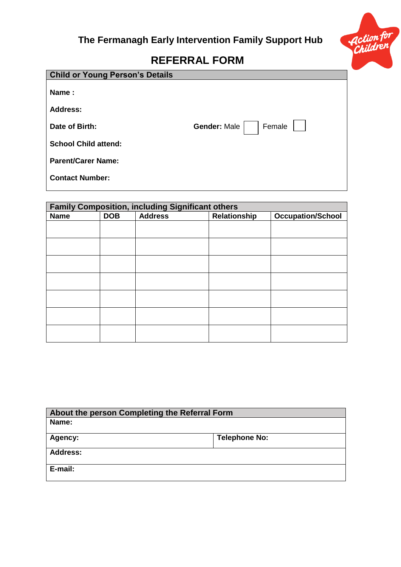

## **REFERRAL FORM**

| <b>Child or Young Person's Details</b> |                               |
|----------------------------------------|-------------------------------|
| Name:                                  |                               |
| <b>Address:</b>                        |                               |
| Date of Birth:                         | Female<br><b>Gender: Male</b> |
| <b>School Child attend:</b>            |                               |
| <b>Parent/Carer Name:</b>              |                               |
| <b>Contact Number:</b>                 |                               |
|                                        |                               |

| <b>Family Composition, including Significant others</b> |            |                |              |                          |
|---------------------------------------------------------|------------|----------------|--------------|--------------------------|
| <b>Name</b>                                             | <b>DOB</b> | <b>Address</b> | Relationship | <b>Occupation/School</b> |
|                                                         |            |                |              |                          |
|                                                         |            |                |              |                          |
|                                                         |            |                |              |                          |
|                                                         |            |                |              |                          |
|                                                         |            |                |              |                          |
|                                                         |            |                |              |                          |
|                                                         |            |                |              |                          |
|                                                         |            |                |              |                          |
|                                                         |            |                |              |                          |
|                                                         |            |                |              |                          |
|                                                         |            |                |              |                          |
|                                                         |            |                |              |                          |
|                                                         |            |                |              |                          |
|                                                         |            |                |              |                          |

| About the person Completing the Referral Form |  |  |
|-----------------------------------------------|--|--|
| Name:                                         |  |  |
| <b>Telephone No:</b><br><b>Agency:</b>        |  |  |
|                                               |  |  |
| <b>Address:</b>                               |  |  |
|                                               |  |  |
| E-mail:                                       |  |  |
|                                               |  |  |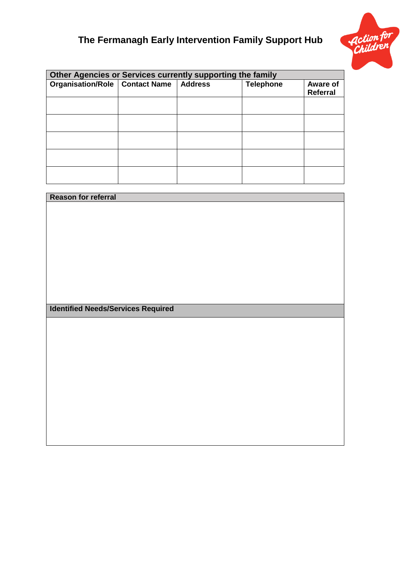# **The Fermanagh Early Intervention Family Support Hub**



| Other Agencies or Services currently supporting the family |  |                |                  |                 |
|------------------------------------------------------------|--|----------------|------------------|-----------------|
| Organisation/Role   Contact Name                           |  | <b>Address</b> | <b>Telephone</b> | <b>Aware of</b> |
|                                                            |  |                |                  | <b>Referral</b> |
|                                                            |  |                |                  |                 |
|                                                            |  |                |                  |                 |
|                                                            |  |                |                  |                 |
|                                                            |  |                |                  |                 |
|                                                            |  |                |                  |                 |
|                                                            |  |                |                  |                 |
|                                                            |  |                |                  |                 |
|                                                            |  |                |                  |                 |
|                                                            |  |                |                  |                 |
|                                                            |  |                |                  |                 |
|                                                            |  |                |                  |                 |
|                                                            |  |                |                  |                 |
|                                                            |  |                |                  |                 |
|                                                            |  |                |                  |                 |
|                                                            |  |                |                  |                 |

| Reason for referral                       |  |
|-------------------------------------------|--|
|                                           |  |
|                                           |  |
|                                           |  |
|                                           |  |
|                                           |  |
|                                           |  |
|                                           |  |
|                                           |  |
|                                           |  |
|                                           |  |
| <b>Identified Needs/Services Required</b> |  |
|                                           |  |
|                                           |  |
|                                           |  |
|                                           |  |
|                                           |  |
|                                           |  |
|                                           |  |
|                                           |  |
|                                           |  |
|                                           |  |
|                                           |  |
|                                           |  |
|                                           |  |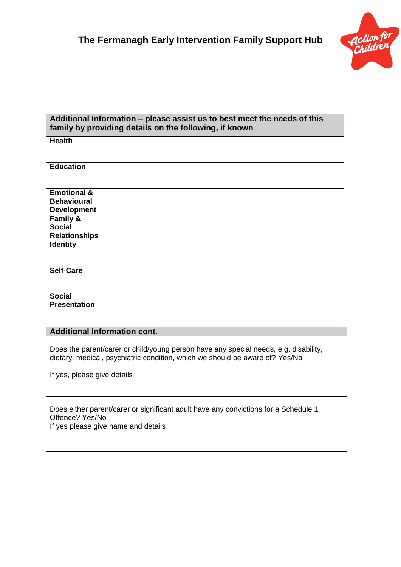

| Additional Information – please assist us to best meet the needs of this<br>family by providing details on the following, if known |
|------------------------------------------------------------------------------------------------------------------------------------|
|                                                                                                                                    |
|                                                                                                                                    |
|                                                                                                                                    |
|                                                                                                                                    |
|                                                                                                                                    |
|                                                                                                                                    |
|                                                                                                                                    |
|                                                                                                                                    |
|                                                                                                                                    |
|                                                                                                                                    |
|                                                                                                                                    |
|                                                                                                                                    |

### **Additional Information cont.**

Does the parent/carer or child/young person have any special needs, e.g. disability, dietary, medical, psychiatric condition, which we should be aware of? Yes/No

If yes, please give details

Does either parent/carer or significant adult have any convictions for a Schedule 1 Offence? Yes/No If yes please give name and details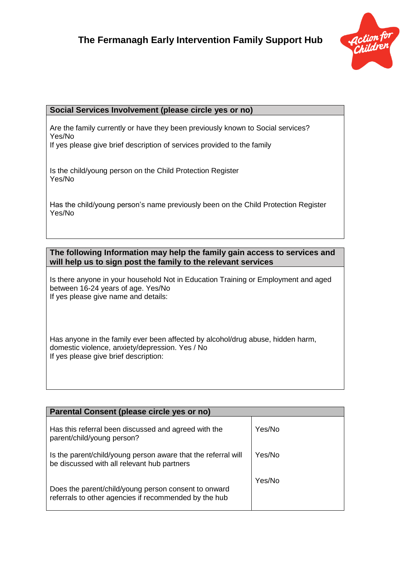

### **Social Services Involvement (please circle yes or no)**

Are the family currently or have they been previously known to Social services? Yes/No

If yes please give brief description of services provided to the family

Is the child/young person on the Child Protection Register Yes/No

Has the child/young person's name previously been on the Child Protection Register Yes/No

### **The following Information may help the family gain access to services and will help us to sign post the family to the relevant services**

Is there anyone in your household Not in Education Training or Employment and aged between 16-24 years of age. Yes/No If yes please give name and details:

Has anyone in the family ever been affected by alcohol/drug abuse, hidden harm, domestic violence, anxiety/depression. Yes / No If yes please give brief description:

| Parental Consent (please circle yes or no)                                                                    |        |  |
|---------------------------------------------------------------------------------------------------------------|--------|--|
| Has this referral been discussed and agreed with the<br>parent/child/young person?                            | Yes/No |  |
| Is the parent/child/young person aware that the referral will<br>be discussed with all relevant hub partners  | Yes/No |  |
| Does the parent/child/young person consent to onward<br>referrals to other agencies if recommended by the hub | Yes/No |  |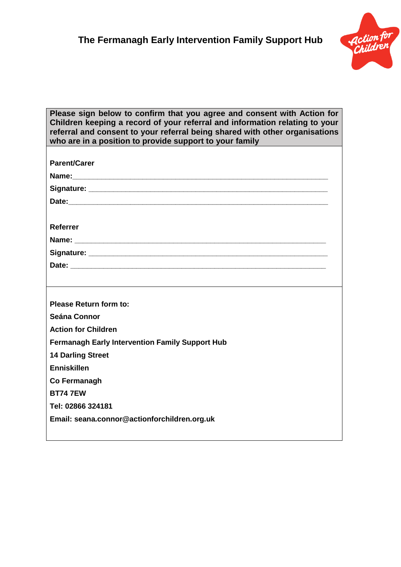

| Please sign below to confirm that you agree and consent with Action for<br>Children keeping a record of your referral and information relating to your<br>referral and consent to your referral being shared with other organisations<br>who are in a position to provide support to your family |
|--------------------------------------------------------------------------------------------------------------------------------------------------------------------------------------------------------------------------------------------------------------------------------------------------|
|                                                                                                                                                                                                                                                                                                  |
| <b>Parent/Carer</b>                                                                                                                                                                                                                                                                              |
|                                                                                                                                                                                                                                                                                                  |
|                                                                                                                                                                                                                                                                                                  |
|                                                                                                                                                                                                                                                                                                  |
|                                                                                                                                                                                                                                                                                                  |
| <b>Referrer</b>                                                                                                                                                                                                                                                                                  |
|                                                                                                                                                                                                                                                                                                  |
|                                                                                                                                                                                                                                                                                                  |
|                                                                                                                                                                                                                                                                                                  |
|                                                                                                                                                                                                                                                                                                  |
|                                                                                                                                                                                                                                                                                                  |
| <b>Please Return form to:</b>                                                                                                                                                                                                                                                                    |
| <b>Seána Connor</b>                                                                                                                                                                                                                                                                              |
| <b>Action for Children</b>                                                                                                                                                                                                                                                                       |
| <b>Fermanagh Early Intervention Family Support Hub</b>                                                                                                                                                                                                                                           |
| <b>14 Darling Street</b>                                                                                                                                                                                                                                                                         |
| <b>Enniskillen</b>                                                                                                                                                                                                                                                                               |
| Co Fermanagh                                                                                                                                                                                                                                                                                     |
| <b>BT74 7EW</b>                                                                                                                                                                                                                                                                                  |
| Tel: 02866 324181                                                                                                                                                                                                                                                                                |
| Email: seana.connor@actionforchildren.org.uk                                                                                                                                                                                                                                                     |
|                                                                                                                                                                                                                                                                                                  |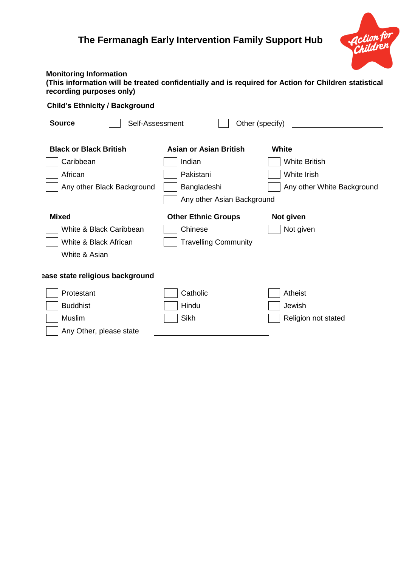## **The Fermanagh Early Intervention Family Support Hub**



### **Monitoring Information**

| (This information will be treated confidentially and is required for Action for Children statistical |  |
|------------------------------------------------------------------------------------------------------|--|
| recording purposes only)                                                                             |  |

### **Child's Ethnicity / Background**

| <b>Source</b><br>Other (specify)<br>Self-Assessment |                               |                            |  |
|-----------------------------------------------------|-------------------------------|----------------------------|--|
|                                                     |                               |                            |  |
| <b>Black or Black British</b>                       | <b>Asian or Asian British</b> | <b>White</b>               |  |
| Caribbean                                           | Indian                        | <b>White British</b>       |  |
| African                                             | Pakistani                     | White Irish                |  |
| Any other Black Background                          | Bangladeshi                   | Any other White Background |  |
| Any other Asian Background                          |                               |                            |  |
| <b>Mixed</b>                                        | <b>Other Ethnic Groups</b>    | Not given                  |  |
| White & Black Caribbean                             | Chinese                       | Not given                  |  |
| White & Black African                               | <b>Travelling Community</b>   |                            |  |
| White & Asian                                       |                               |                            |  |
|                                                     |                               |                            |  |
| ase state religious background                      |                               |                            |  |
| Protestant                                          | Catholic                      | Atheist                    |  |
| <b>Buddhist</b>                                     | Hindu                         | Jewish                     |  |
| Muslim                                              | <b>Sikh</b>                   | Religion not stated        |  |
| Any Other, please state                             |                               |                            |  |
|                                                     |                               |                            |  |